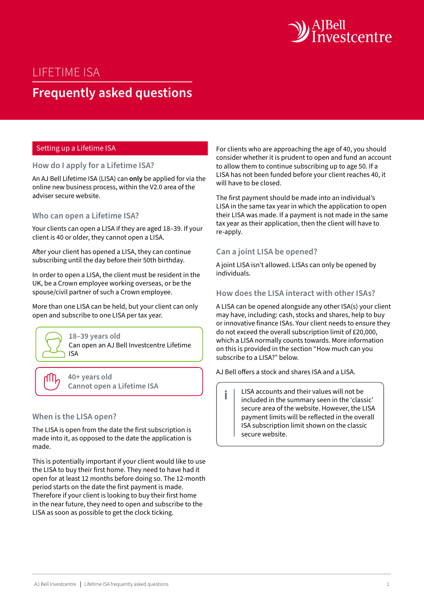

# LIFETIME ISA

# **Frequently asked questions**

#### Setting up a Lifetime ISA

#### **How do I apply for a Lifetime ISA?**

An AJ Bell Lifetime ISA (LISA) can **only** be applied for via the online new business process, within the V2.0 area of the adviser secure website.

#### **Who can open a Lifetime ISA?**

Your clients can open a LISA if they are aged 18–39. If your client is 40 or older, they cannot open a LISA.

After your client has opened a LISA, they can continue subscribing until the day before their 50th birthday.

In order to open a LISA, the client must be resident in the UK, be a Crown employee working overseas, or be the spouse/civil partner of such a Crown employee.

More than one LISA can be held, but your client can only open and subscribe to one LISA per tax year.



**40+ years old Cannot open a Lifetime ISA**

#### **When is the LISA open?**

The LISA is open from the date the first subscription is made into it, as opposed to the date the application is made.

This is potentially important if your client would like to use the LISA to buy their first home. They need to have had it open for at least 12 months before doing so. The 12-month period starts on the date the first payment is made. Therefore if your client is looking to buy their first home in the near future, they need to open and subscribe to the LISA as soon as possible to get the clock ticking.

For clients who are approaching the age of 40, you should consider whether it is prudent to open and fund an account to allow them to continue subscribing up to age 50. If a LISA has not been funded before your client reaches 40, it will have to be closed.

The first payment should be made into an individual's LISA in the same tax year in which the application to open their LISA was made. If a payment is not made in the same tax year as their application, then the client will have to re-apply.

#### **Can a joint LISA be opened?**

A joint LISA isn't allowed. LISAs can only be opened by individuals.

# **How does the LISA interact with other ISAs?**

A LISA can be opened alongside any other ISA(s) your client may have, including: cash, stocks and shares, help to buy or innovative finance ISAs. Your client needs to ensure they do not exceed the overall subscription limit of £20,000, which a LISA normally counts towards. More information on this is provided in the section "How much can you subscribe to a LISA?" below.

AJ Bell offers a stock and shares ISA and a LISA.

LISA accounts and their values will not be included in the summary seen in the 'classic' secure area of the website. However, the LISA payment limits will be reflected in the overall ISA subscription limit shown on the classic secure website.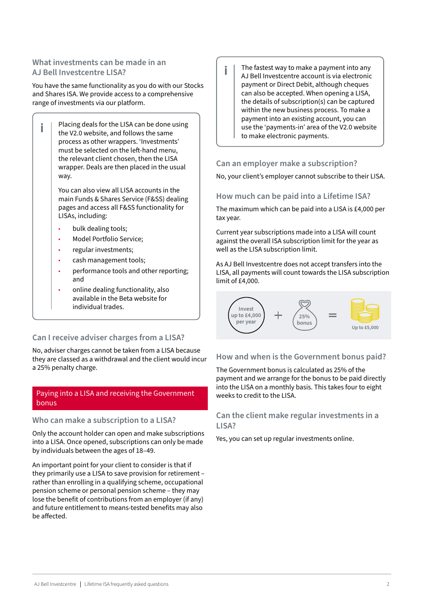# **What investments can be made in an AJ Bell Investcentre LISA?**

You have the same functionality as you do with our Stocks and Shares ISA. We provide access to a comprehensive range of investments via our platform.

Placing deals for the LISA can be done using i the V2.0 website, and follows the same process as other wrappers. 'Investments' must be selected on the left-hand menu, the relevant client chosen, then the LISA wrapper. Deals are then placed in the usual way.

> You can also view all LISA accounts in the main Funds & Shares Service (F&SS) dealing pages and access all F&SS functionality for LISAs, including:

- bulk dealing tools;
- Model Portfolio Service;
- regular investments;
- cash management tools;
- performance tools and other reporting; and
- online dealing functionality, also available in the Beta website for individual trades.

# **Can I receive adviser charges from a LISA?**

No, adviser charges cannot be taken from a LISA because they are classed as a withdrawal and the client would incur a 25% penalty charge.

# Paying into a LISA and receiving the Government bonus

### **Who can make a subscription to a LISA?**

Only the account holder can open and make subscriptions into a LISA. Once opened, subscriptions can only be made by individuals between the ages of 18–49.

An important point for your client to consider is that if they primarily use a LISA to save provision for retirement – rather than enrolling in a qualifying scheme, occupational pension scheme or personal pension scheme – they may lose the benefit of contributions from an employer (if any) and future entitlement to means-tested benefits may also be affected.

The fastest way to make a payment into any AJ Bell Investcentre account is via electronic payment or Direct Debit, although cheques can also be accepted. When opening a LISA, the details of subscription(s) can be captured within the new business process. To make a payment into an existing account, you can use the 'payments-in' area of the V2.0 website to make electronic payments.

### **Can an employer make a subscription?**

No, your client's employer cannot subscribe to their LISA.

### **How much can be paid into a Lifetime ISA?**

The maximum which can be paid into a LISA is £4,000 per tax year.

Current year subscriptions made into a LISA will count against the overall ISA subscription limit for the year as well as the LISA subscription limit.

As AJ Bell Investcentre does not accept transfers into the LISA, all payments will count towards the LISA subscription limit of £4,000.



### **How and when is the Government bonus paid?**

The Government bonus is calculated as 25% of the payment and we arrange for the bonus to be paid directly into the LISA on a monthly basis. This takes four to eight weeks to credit to the LISA.

### **Can the client make regular investments in a LISA?**

Yes, you can set up regular investments online.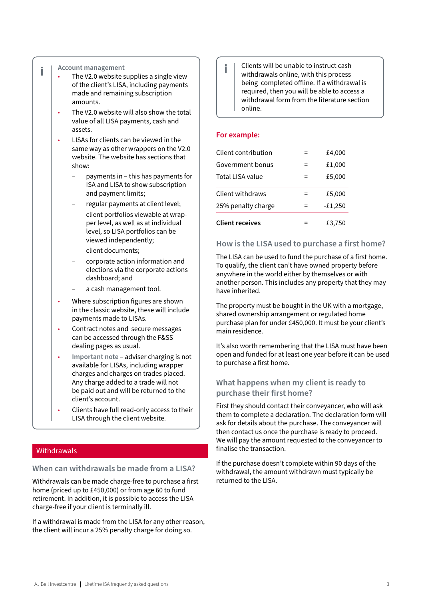#### **Account management**

i

- The V2.0 website supplies a single view of the client's LISA, including payments made and remaining subscription amounts.
- The V2.0 website will also show the total value of all LISA payments, cash and assets.
- LISAs for clients can be viewed in the same way as other wrappers on the V2.0 website. The website has sections that show:
	- payments in this has payments for ISA and LISA to show subscription and payment limits;
	- regular payments at client level;
	- client portfolios viewable at wrapper level, as well as at individual level, so LISA portfolios can be viewed independently;
	- client documents;
	- corporate action information and elections via the corporate actions dashboard; and
	- a cash management tool.
- Where subscription figures are shown in the classic website, these will include payments made to LISAs.
- Contract notes and secure messages can be accessed through the F&SS dealing pages as usual.
- **Important note** adviser charging is not available for LISAs, including wrapper charges and charges on trades placed. Any charge added to a trade will not be paid out and will be returned to the client's account.
- Clients have full read-only access to their LISA through the client website.

#### **Withdrawals**

# **When can withdrawals be made from a LISA?**

Withdrawals can be made charge-free to purchase a first home (priced up to £450,000) or from age 60 to fund retirement. In addition, it is possible to access the LISA charge-free if your client is terminally ill.

If a withdrawal is made from the LISA for any other reason, the client will incur a 25% penalty charge for doing so.

Clients will be unable to instruct cash withdrawals online, with this process being completed offline. If a withdrawal is required, then you will be able to access a withdrawal form from the literature section online.

#### **For example:**

| <b>Client receives</b>  |     | £3,750    |
|-------------------------|-----|-----------|
| 25% penalty charge      | =   | $-E1,250$ |
| <b>Client withdraws</b> | =   | £5,000    |
| Total LISA value        | $=$ | £5,000    |
| Government bonus        |     | £1,000    |
| Client contribution     | ⋍   | £4,000    |

#### **How is the LISA used to purchase a first home?**

The LISA can be used to fund the purchase of a first home. To qualify, the client can't have owned property before anywhere in the world either by themselves or with another person. This includes any property that they may have inherited.

The property must be bought in the UK with a mortgage, shared ownership arrangement or regulated home purchase plan for under £450,000. It must be your client's main residence.

It's also worth remembering that the LISA must have been open and funded for at least one year before it can be used to purchase a first home.

# **What happens when my client is ready to purchase their first home?**

First they should contact their conveyancer, who will ask them to complete a declaration. The declaration form will ask for details about the purchase. The conveyancer will then contact us once the purchase is ready to proceed. We will pay the amount requested to the conveyancer to finalise the transaction.

If the purchase doesn't complete within 90 days of the withdrawal, the amount withdrawn must typically be returned to the LISA.